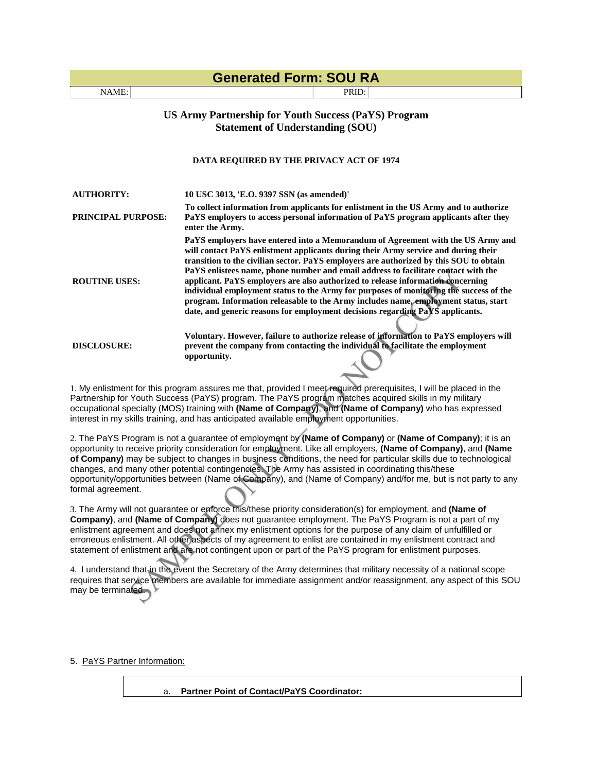| <b>Generated Form: SOU RA</b>                                                                          |                                                                                                                                                                                                                                                                                                                                                                                                                                                                                                                                                                                                                                                                                                            |  |  |  |
|--------------------------------------------------------------------------------------------------------|------------------------------------------------------------------------------------------------------------------------------------------------------------------------------------------------------------------------------------------------------------------------------------------------------------------------------------------------------------------------------------------------------------------------------------------------------------------------------------------------------------------------------------------------------------------------------------------------------------------------------------------------------------------------------------------------------------|--|--|--|
| NAME:                                                                                                  | PRID:                                                                                                                                                                                                                                                                                                                                                                                                                                                                                                                                                                                                                                                                                                      |  |  |  |
| <b>US Army Partnership for Youth Success (PaYS) Program</b><br><b>Statement of Understanding (SOU)</b> |                                                                                                                                                                                                                                                                                                                                                                                                                                                                                                                                                                                                                                                                                                            |  |  |  |
| DATA REQUIRED BY THE PRIVACY ACT OF 1974                                                               |                                                                                                                                                                                                                                                                                                                                                                                                                                                                                                                                                                                                                                                                                                            |  |  |  |
| <b>AUTHORITY:</b>                                                                                      | 10 USC 3013, 'E.O. 9397 SSN (as amended)'                                                                                                                                                                                                                                                                                                                                                                                                                                                                                                                                                                                                                                                                  |  |  |  |
| <b>PRINCIPAL PURPOSE:</b>                                                                              | To collect information from applicants for enlistment in the US Army and to authorize<br>PaYS employers to access personal information of PaYS program applicants after they<br>enter the Army.                                                                                                                                                                                                                                                                                                                                                                                                                                                                                                            |  |  |  |
| <b>ROUTINE USES:</b>                                                                                   | PaYS employers have entered into a Memorandum of Agreement with the US Army and<br>will contact PaYS enlistment applicants during their Army service and during their<br>transition to the civilian sector. PaYS employers are authorized by this SOU to obtain<br>PaYS enlistees name, phone number and email address to facilitate contact with the<br>applicant. PaYS employers are also authorized to release information concerning<br>individual employment status to the Army for purposes of monitoring the success of the<br>program. Information releasable to the Army includes name, employment status, start<br>date, and generic reasons for employment decisions regarding PaYS applicants. |  |  |  |
| <b>DISCLOSURE:</b>                                                                                     | Voluntary. However, failure to authorize release of information to PaYS employers will<br>prevent the company from contacting the individual to facilitate the employment<br>opportunity.                                                                                                                                                                                                                                                                                                                                                                                                                                                                                                                  |  |  |  |

1. My enlistment for this program assures me that, provided I meet required prerequisites, I will be placed in the Partnership for Youth Success (PaYS) program. The PaYS program matches acquired skills in my military occupational specialty (MOS) training with **(Name of Company)**, and **(Name of Company)** who has expressed interest in my skills training, and has anticipated available employment opportunities.

2. The PaYS Program is not a guarantee of employment by **(Name of Company)** or **(Name of Company)**; it is an opportunity to receive priority consideration for employment. Like all employers, **(Name of Company)**, and **(Name of Company)** may be subject to changes in business conditions, the need for particular skills due to technological changes, and many other potential contingencies. The Army has assisted in coordinating this/these opportunity/opportunities between (Name of Company), and (Name of Company) and/for me, but is not party to any formal agreement.

3. The Army will not guarantee or enforce this/these priority consideration(s) for employment, and **(Name of Company)**, and **(Name of Company)** does not guarantee employment. The PaYS Program is not a part of my enlistment agreement and does not annex my enlistment options for the purpose of any claim of unfulfilled or erroneous enlistment. All other aspects of my agreement to enlist are contained in my enlistment contract and statement of enlistment and are not contingent upon or part of the PaYS program for enlistment purposes.

4. I understand that in the event the Secretary of the Army determines that military necessity of a national scope requires that service members are available for immediate assignment and/or reassignment, any aspect of this SOU may be terminated.

5. PaYS Partner Information:

a. **Partner Point of Contact/PaYS Coordinator:**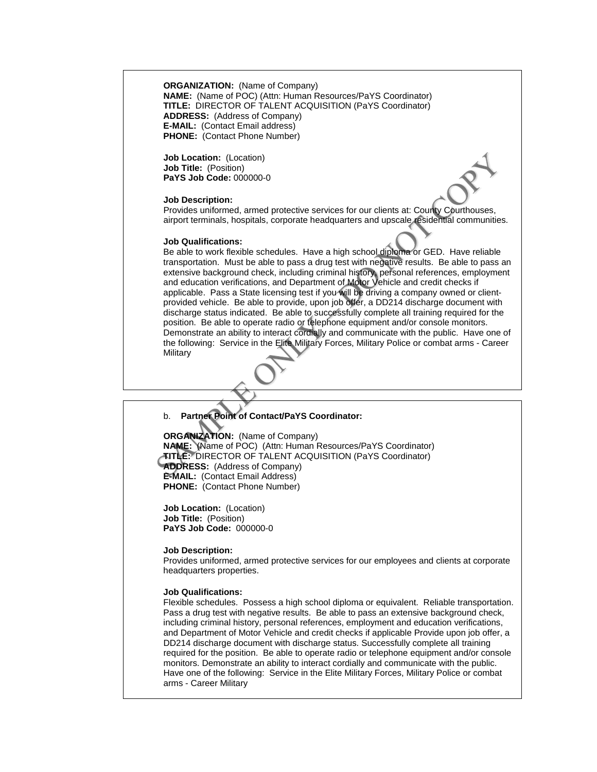